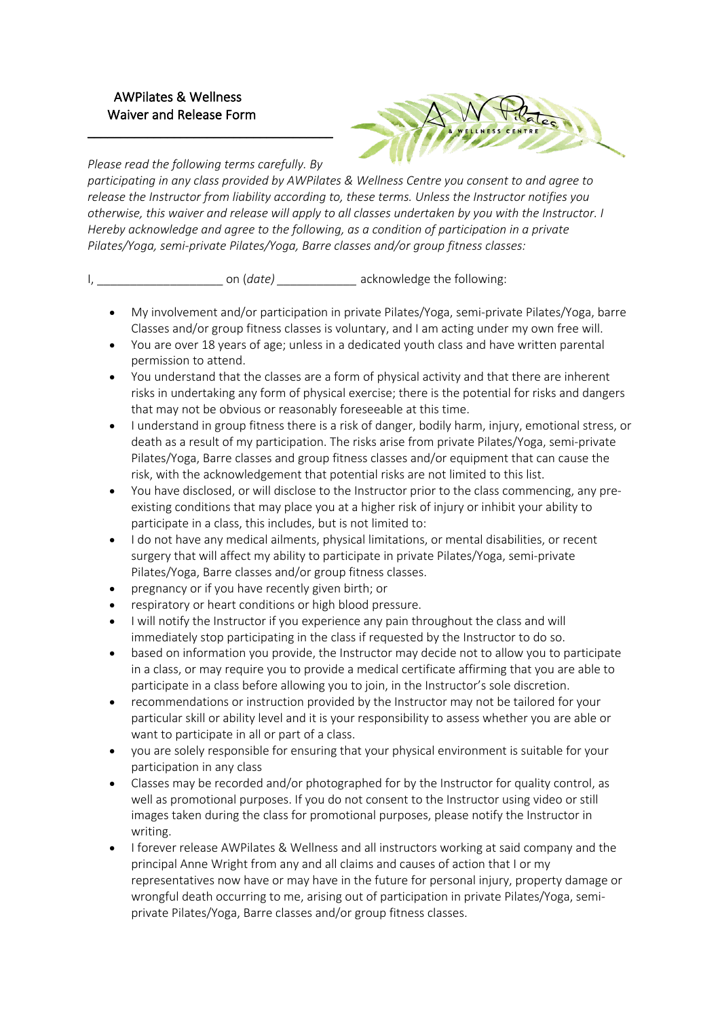## AWPilates & Wellness Waiver and Release Form



*Please read the following terms carefully. By* 

\_\_\_\_\_\_\_\_\_\_\_\_\_\_\_\_\_\_\_\_\_\_\_\_\_\_\_\_\_\_\_\_\_\_\_\_\_

*participating in any class provided by AWPilates & Wellness Centre you consent to and agree to release the Instructor from liability according to, these terms. Unless the Instructor notifies you otherwise, this waiver and release will apply to all classes undertaken by you with the Instructor. I Hereby acknowledge and agree to the following, as a condition of participation in a private Pilates/Yoga, semi-private Pilates/Yoga, Barre classes and/or group fitness classes:*

I, date) con (*date*) acknowledge the following:

- My involvement and/or participation in private Pilates/Yoga, semi-private Pilates/Yoga, barre Classes and/or group fitness classes is voluntary, and I am acting under my own free will.
- You are over 18 years of age; unless in a dedicated youth class and have written parental permission to attend.
- You understand that the classes are a form of physical activity and that there are inherent risks in undertaking any form of physical exercise; there is the potential for risks and dangers that may not be obvious or reasonably foreseeable at this time.
- I understand in group fitness there is a risk of danger, bodily harm, injury, emotional stress, or death as a result of my participation. The risks arise from private Pilates/Yoga, semi-private Pilates/Yoga, Barre classes and group fitness classes and/or equipment that can cause the risk, with the acknowledgement that potential risks are not limited to this list.
- You have disclosed, or will disclose to the Instructor prior to the class commencing, any preexisting conditions that may place you at a higher risk of injury or inhibit your ability to participate in a class, this includes, but is not limited to:
- I do not have any medical ailments, physical limitations, or mental disabilities, or recent surgery that will affect my ability to participate in private Pilates/Yoga, semi-private Pilates/Yoga, Barre classes and/or group fitness classes.
- pregnancy or if you have recently given birth; or
- respiratory or heart conditions or high blood pressure.
- I will notify the Instructor if you experience any pain throughout the class and will immediately stop participating in the class if requested by the Instructor to do so.
- based on information you provide, the Instructor may decide not to allow you to participate in a class, or may require you to provide a medical certificate affirming that you are able to participate in a class before allowing you to join, in the Instructor's sole discretion.
- recommendations or instruction provided by the Instructor may not be tailored for your particular skill or ability level and it is your responsibility to assess whether you are able or want to participate in all or part of a class.
- you are solely responsible for ensuring that your physical environment is suitable for your participation in any class
- Classes may be recorded and/or photographed for by the Instructor for quality control, as well as promotional purposes. If you do not consent to the Instructor using video or still images taken during the class for promotional purposes, please notify the Instructor in writing.
- I forever release AWPilates & Wellness and all instructors working at said company and the principal Anne Wright from any and all claims and causes of action that I or my representatives now have or may have in the future for personal injury, property damage or wrongful death occurring to me, arising out of participation in private Pilates/Yoga, semiprivate Pilates/Yoga, Barre classes and/or group fitness classes.